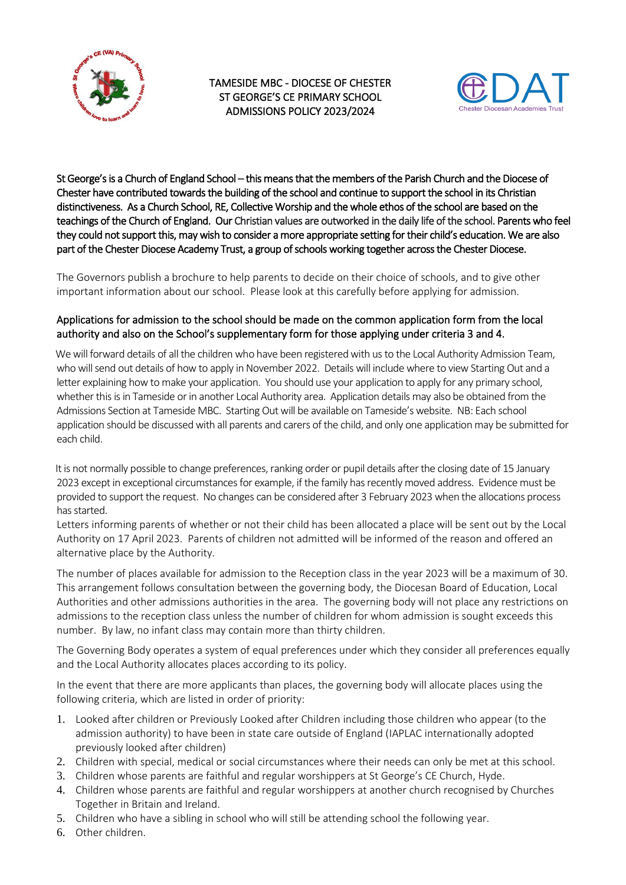

TAMESIDE MBC - DIOCESE OF CHESTER ST GEORGE'S CE PRIMARY SCHOOL ADMISSIONS POLICY 2023/2024



St George's is a Church of England School – this means that the members of the Parish Church and the Diocese of Chester have contributed towards the building of the school and continue to support the school in its Christian distinctiveness. As a Church School, RE, Collective Worship and the whole ethos of the school are based on the teachings of the Church of England. Our Christian values are outworked in the daily life of the school. Parents who feel they could not support this, may wish to consider a more appropriate setting for their child's education. We are also part of the Chester Diocese Academy Trust, a group of schools working together across the Chester Diocese.

The Governors publish a brochure to help parents to decide on their choice of schools, and to give other important information about our school. Please look at this carefully before applying for admission.

# Applications for admission to the school should be made on the common application form from the local authority and also on the School's supplementary form for those applying under criteria 3 and 4.

We will forward details of all the children who have been registered with us to the Local Authority Admission Team, who will send out details of how to apply in November 2022. Details will include where to view Starting Out and a letter explaining how to make your application. You should use your application to apply for any primary school, whether this is in Tameside or in another Local Authority area. Application details may also be obtained from the Admissions Section at Tameside MBC. Starting Out will be available on Tameside's website. NB: Each school application should be discussed with all parents and carers of the child, and only one application may be submitted for each child.

 It is not normally possible to change preferences, ranking order or pupil details after the closing date of 15 January 2023 except in exceptional circumstances for example, if the family has recently moved address. Evidence must be provided to support the request. No changes can be considered after 3 February 2023 when the allocations process has started.

Letters informing parents of whether or not their child has been allocated a place will be sent out by the Local Authority on 17 April 2023. Parents of children not admitted will be informed of the reason and offered an alternative place by the Authority.

The number of places available for admission to the Reception class in the year 2023 will be a maximum of 30. This arrangement follows consultation between the governing body, the Diocesan Board of Education, Local Authorities and other admissions authorities in the area. The governing body will not place any restrictions on admissions to the reception class unless the number of children for whom admission is sought exceeds this number. By law, no infant class may contain more than thirty children.

The Governing Body operates a system of equal preferences under which they consider all preferences equally and the Local Authority allocates places according to its policy.

In the event that there are more applicants than places, the governing body will allocate places using the following criteria, which are listed in order of priority:

- 1. Looked after children or Previously Looked after Children including those children who appear (to the admission authority) to have been in state care outside of England (IAPLAC internationally adopted previously looked after children)
- 2. Children with special, medical or social circumstances where their needs can only be met at this school.
- 3. Children whose parents are faithful and regular worshippers at St George's CE Church, Hyde.
- 4. Children whose parents are faithful and regular worshippers at another church recognised by Churches Together in Britain and Ireland.
- 5. Children who have a sibling in school who will still be attending school the following year.
- 6. Other children.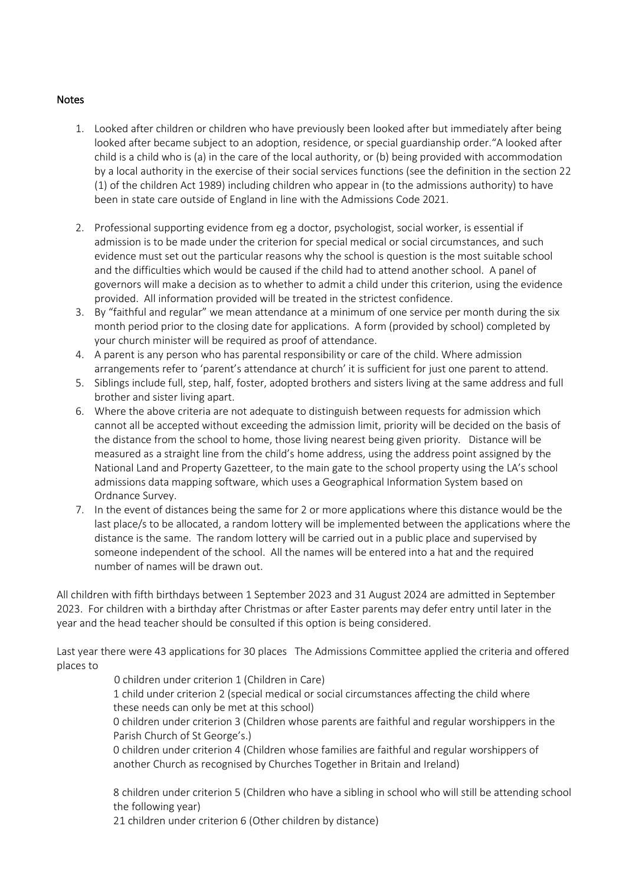#### Notes

- 1. Looked after children or children who have previously been looked after but immediately after being looked after became subject to an adoption, residence, or special guardianship order."A looked after child is a child who is (a) in the care of the local authority, or (b) being provided with accommodation by a local authority in the exercise of their social services functions (see the definition in the section 22 (1) of the children Act 1989) including children who appear in (to the admissions authority) to have been in state care outside of England in line with the Admissions Code 2021.
- 2. Professional supporting evidence from eg a doctor, psychologist, social worker, is essential if admission is to be made under the criterion for special medical or social circumstances, and such evidence must set out the particular reasons why the school is question is the most suitable school and the difficulties which would be caused if the child had to attend another school. A panel of governors will make a decision as to whether to admit a child under this criterion, using the evidence provided. All information provided will be treated in the strictest confidence.
- 3. By "faithful and regular" we mean attendance at a minimum of one service per month during the six month period prior to the closing date for applications. A form (provided by school) completed by your church minister will be required as proof of attendance.
- 4. A parent is any person who has parental responsibility or care of the child. Where admission arrangements refer to 'parent's attendance at church' it is sufficient for just one parent to attend.
- 5. Siblings include full, step, half, foster, adopted brothers and sisters living at the same address and full brother and sister living apart.
- 6. Where the above criteria are not adequate to distinguish between requests for admission which cannot all be accepted without exceeding the admission limit, priority will be decided on the basis of the distance from the school to home, those living nearest being given priority. Distance will be measured as a straight line from the child's home address, using the address point assigned by the National Land and Property Gazetteer, to the main gate to the school property using the LA's school admissions data mapping software, which uses a Geographical Information System based on Ordnance Survey.
- 7. In the event of distances being the same for 2 or more applications where this distance would be the last place/s to be allocated, a random lottery will be implemented between the applications where the distance is the same. The random lottery will be carried out in a public place and supervised by someone independent of the school. All the names will be entered into a hat and the required number of names will be drawn out.

All children with fifth birthdays between 1 September 2023 and 31 August 2024 are admitted in September 2023. For children with a birthday after Christmas or after Easter parents may defer entry until later in the year and the head teacher should be consulted if this option is being considered.

Last year there were 43 applications for 30 places The Admissions Committee applied the criteria and offered places to

0 children under criterion 1 (Children in Care)

1 child under criterion 2 (special medical or social circumstances affecting the child where these needs can only be met at this school)

0 children under criterion 3 (Children whose parents are faithful and regular worshippers in the Parish Church of St George's.)

0 children under criterion 4 (Children whose families are faithful and regular worshippers of another Church as recognised by Churches Together in Britain and Ireland)

8 children under criterion 5 (Children who have a sibling in school who will still be attending school the following year)

21 children under criterion 6 (Other children by distance)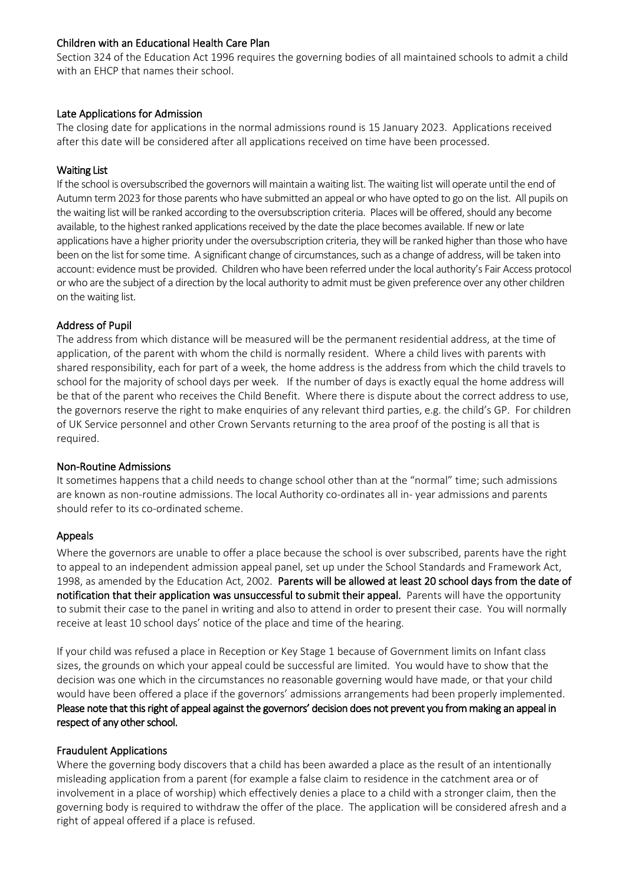### Children with an Educational Health Care Plan

Section 324 of the Education Act 1996 requires the governing bodies of all maintained schools to admit a child with an EHCP that names their school.

#### Late Applications for Admission

The closing date for applications in the normal admissions round is 15 January 2023. Applications received after this date will be considered after all applications received on time have been processed.

#### Waiting List

If the school is oversubscribed the governors will maintain a waiting list. The waiting list will operate until the end of Autumn term 2023 for those parents who have submitted an appeal or who have opted to go on the list. All pupils on the waiting list will be ranked according to the oversubscription criteria. Placeswill be offered, should any become available, to the highest ranked applications received by the date the place becomes available. If new or late applications have a higher priority under the oversubscription criteria, they will be ranked higher than thosewho have been on the list for some time. A significant change of circumstances, such as a change of address, will be taken into account: evidence must be provided. Children who have been referred under the local authority's Fair Access protocol or who are the subject of a direction by the local authority to admit must be given preference over any other children on the waiting list.

#### Address of Pupil

The address from which distance will be measured will be the permanent residential address, at the time of application, of the parent with whom the child is normally resident. Where a child lives with parents with shared responsibility, each for part of a week, the home address is the address from which the child travels to school for the majority of school days per week. If the number of days is exactly equal the home address will be that of the parent who receives the Child Benefit. Where there is dispute about the correct address to use, the governors reserve the right to make enquiries of any relevant third parties, e.g. the child's GP. For children of UK Service personnel and other Crown Servants returning to the area proof of the posting is all that is required.

#### Non-Routine Admissions

It sometimes happens that a child needs to change school other than at the "normal" time; such admissions are known as non-routine admissions. The local Authority co-ordinates all in- year admissions and parents should refer to its co-ordinated scheme.

### Appeals

Where the governors are unable to offer a place because the school is over subscribed, parents have the right to appeal to an independent admission appeal panel, set up under the School Standards and Framework Act, 1998, as amended by the Education Act, 2002. Parents will be allowed at least 20 school days from the date of notification that their application was unsuccessful to submit their appeal. Parents will have the opportunity to submit their case to the panel in writing and also to attend in order to present their case. You will normally receive at least 10 school days' notice of the place and time of the hearing.

If your child was refused a place in Reception or Key Stage 1 because of Government limits on Infant class sizes, the grounds on which your appeal could be successful are limited. You would have to show that the decision was one which in the circumstances no reasonable governing would have made, or that your child would have been offered a place if the governors' admissions arrangements had been properly implemented. Please note that this right of appeal against the governors' decision does not prevent you from making an appeal in respect of any other school.

### Fraudulent Applications

Where the governing body discovers that a child has been awarded a place as the result of an intentionally misleading application from a parent (for example a false claim to residence in the catchment area or of involvement in a place of worship) which effectively denies a place to a child with a stronger claim, then the governing body is required to withdraw the offer of the place. The application will be considered afresh and a right of appeal offered if a place is refused.